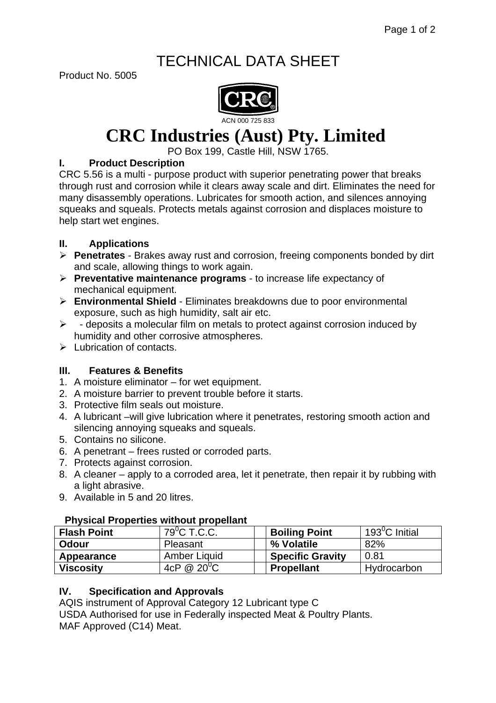# TECHNICAL DATA SHEET

Product No. 5005



# **CRC Industries (Aust) Pty. Limited**

PO Box 199, Castle Hill, NSW 1765.

# **I. Product Description**

CRC 5.56 is a multi - purpose product with superior penetrating power that breaks through rust and corrosion while it clears away scale and dirt. Eliminates the need for many disassembly operations. Lubricates for smooth action, and silences annoying squeaks and squeals. Protects metals against corrosion and displaces moisture to help start wet engines.

# **II. Applications**

- ¾ **Penetrates** Brakes away rust and corrosion, freeing components bonded by dirt and scale, allowing things to work again.
- ¾ **Preventative maintenance programs** to increase life expectancy of mechanical equipment.
- ¾ **Environmental Shield** Eliminates breakdowns due to poor environmental exposure, such as high humidity, salt air etc.
- $\triangleright$  deposits a molecular film on metals to protect against corrosion induced by humidity and other corrosive atmospheres.
- $\triangleright$  Lubrication of contacts.

# **III. Features & Benefits**

- 1. A moisture eliminator for wet equipment.
- 2. A moisture barrier to prevent trouble before it starts.
- 3. Protective film seals out moisture.
- 4. A lubricant –will give lubrication where it penetrates, restoring smooth action and silencing annoying squeaks and squeals.
- 5. Contains no silicone.
- 6. A penetrant frees rusted or corroded parts.
- 7. Protects against corrosion.
- 8. A cleaner apply to a corroded area, let it penetrate, then repair it by rubbing with a light abrasive.
- 9. Available in 5 and 20 litres.

# **Physical Properties without propellant**

| <b>Flash Point</b> | $79^{\circ}$ C T.C.C. | <b>Boiling Point</b>    | 193 $\mathrm{^0C}$ Initial |
|--------------------|-----------------------|-------------------------|----------------------------|
| <b>Odour</b>       | Pleasant              | % Volatile              | 82%                        |
| Appearance         | Amber Liquid          | <b>Specific Gravity</b> | 0.81                       |
| <b>Viscosity</b>   | 4cP @ $20^0C$         | <b>Propellant</b>       | Hydrocarbon                |

# **IV. Specification and Approvals**

AQIS instrument of Approval Category 12 Lubricant type C USDA Authorised for use in Federally inspected Meat & Poultry Plants. MAF Approved (C14) Meat.